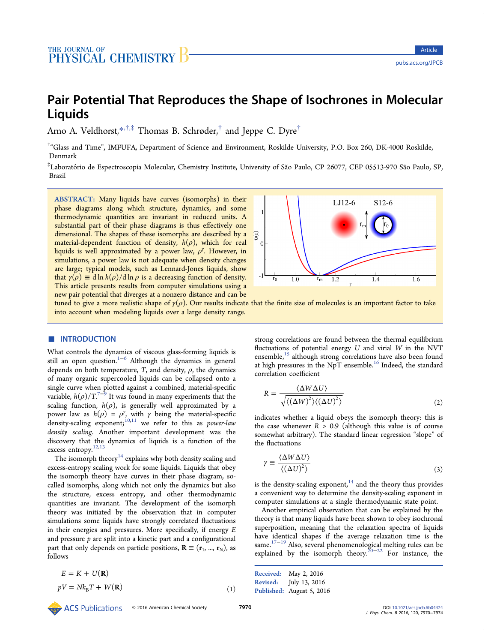<span id="page-0-0"></span>Arno A. Veldhorst, $*$ ,<sup>†,‡</sup> Thomas B. Schrøder,<sup>†</sup> and Jeppe C. Dyre<sup>†</sup>

† "Glass and Time", IM[FU](#page-3-0)FA, Department of Science and Environment, Roskilde University, P.O. Box 260, DK-4000 Roskilde, Denmark

‡Laboratório de Espectroscopia Molecular, Chemistry Institute, University of São Paulo, CP 26077, CEP 05513-970 São Paulo, SP, Brazil

ABSTRACT: Many liquids have curves (isomorphs) in their phase diagrams along which structure, dynamics, and some thermodynamic quantities are invariant in reduced units. A substantial part of their phase diagrams is thus effectively one dimensional. The shapes of these isomorphs are described by a material-dependent function of density,  $h(\rho)$ , which for real liquids is well approximated by a power law,  $\rho^{\gamma}$ . However, in simulations, a power law is not adequate when density changes are large; typical models, such as Lennard-Jones liquids, show that  $\gamma(\rho) \equiv d \ln h(\rho)/d \ln \rho$  is a decreasing function of density. This article presents results from computer simulations using a new pair potential that diverges at a nonzero distance and can be



<u>Article</u> pubs.acs.org/JPCB

tuned to give a more realistic shape of  $\gamma(\rho)$ . Our results indicate that the finite size of molecules is an important factor to take into account when modeling liquids over a large density range.

# ■ INTRODUCTION

What controls the dynamics of viscous glass-forming liquids is still an open question.<sup>1−6</sup> Although the dynamics in general depends on both temperature,  $T$ , and density,  $\rho$ , the dynamics of many organic super[coo](#page-3-0)led liquids can be collapsed onto a single curve when plotted against a combined, material-specific variable,  $h(\rho)/T^{7-\theta}$  It was found in many experiments that the scaling function,  $h(\rho)$ , is generally well approximated by a power law as  $h(\rho) = \rho^{\gamma}$  $h(\rho) = \rho^{\gamma}$  $h(\rho) = \rho^{\gamma}$  $h(\rho) = \rho^{\gamma}$  $h(\rho) = \rho^{\gamma}$ , with  $\gamma$  being the material-specific density-scaling exponent;  $10,11$  we refer to this as *power-law* density scaling. Another important development was the discovery that the dyna[mics](#page-4-0) of liquids is a function of the excess entropy.<sup>12,13</sup>

The isomorph theory<sup>14</sup> explains why both density scaling and excess-entropy [scali](#page-4-0)ng work for some liquids. Liquids that obey the isomorph theory [hav](#page-4-0)e curves in their phase diagram, socalled isomorphs, along which not only the dynamics but also the structure, excess entropy, and other thermodynamic quantities are invariant. The development of the isomorph theory was initiated by the observation that in computer simulations some liquids have strongly correlated fluctuations in their energies and pressures. More specifically, if energy E and pressure  $p$  are split into a kinetic part and a configurational part that only depends on particle positions,  $\mathbf{R} \equiv (\mathbf{r}_1, ..., \mathbf{r}_N)$ , as follows

$$
E = K + U(\mathbf{R})
$$

$$
pV = Nk_{\rm B}T + W(\mathbf{R})\tag{1}
$$

strong correlations are found between the thermal equilibrium fluctuations of potential energy  $U$  and virial  $W$  in the NVT ensemble, $15$  although strong correlations have also been found at high pressures in the NpT ensemble.<sup>16</sup> Indeed, the standard correlatio[n c](#page-4-0)oefficient

$$
R = \frac{\langle \Delta W \Delta U \rangle}{\sqrt{\langle (\Delta W)^2 \rangle \langle (\Delta U)^2 \rangle}}
$$
(2)

indicates whether a liquid obeys the isomorph theory: this is the case whenever  $R > 0.9$  (although this value is of course somewhat arbitrary). The standard linear regression "slope" of the fluctuations

$$
\gamma \equiv \frac{\langle \Delta W \Delta U \rangle}{\langle (\Delta U)^2 \rangle} \tag{3}
$$

is the density-scaling exponent, $14$  and the theory thus provides a convenient way to determine the density-scaling exponent in computer simulations at a sing[le](#page-4-0) thermodynamic state point.

Another empirical observation that can be explained by the theory is that many liquids have been shown to obey isochronal superposition, meaning that the relaxation spectra of liquids have identical shapes if the average relaxation time is the same.17−<sup>19</sup> Also, several phenomenological melting rules can be explained by the isomorph theory.<sup>20−22</sup> For instance, the

Received: May 2, 2016 Revised: July 13, 2016 Published: August 5, 2016

© 2016 American Chemical Society <sup>7970</sup> DOI: 10.1021/acs.jpcb.6b04424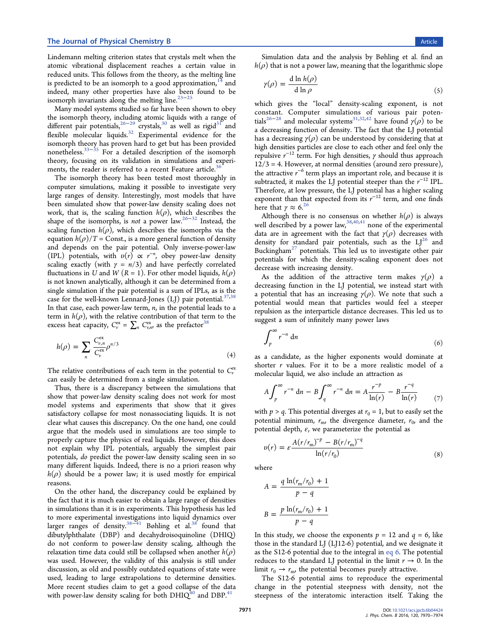<span id="page-1-0"></span>Lindemann melting criterion states that crystals melt when the atomic vibrational displacement reaches a certain value in reduced units. This follows from the theory, as the melting line is predicted to be an isomorph to a good approximation,  $14$  and indeed, many other properties have also been found to be isomorph invariants along the melting line. $23-25$ 

Many model systems studied so far have been shown to obey the isomorph theory, including atomic liq[uid](#page-4-0)s [w](#page-4-0)ith a range of different pair potentials,<sup>36–29</sup> crystals,<sup>30</sup> as well as rigid<sup>31</sup> and flexible molecular liquids.<sup>32</sup> Experimental evidence for the isomorph theory has pr[oven h](#page-4-0)ard to g[et](#page-4-0) but has been pr[ov](#page-4-0)ided nonetheless.33−<sup>35</sup> For a d[eta](#page-4-0)iled description of the isomorph theory, focusing on its validation in simulations and experiments, the [reader](#page-4-0) is referred to a recent Feature article.<sup>36</sup>

The isomorph theory has been tested most thoroughly in computer simulations, making it possible to investiga[te](#page-4-0) very large ranges of density. Interestingly, most models that have been simulated show that power-law density scaling does not work, that is, the scaling function  $h(\rho)$ , which describes the shape of the isomorphs, is not a power law.<sup>26–32</sup> Instead, the scaling function  $h(\rho)$ , which describes the isomorphs via the equation  $h(\rho)/T =$  Const., is a more general [functi](#page-4-0)on of density and depends on the pair potential. Only inverse-power-law (IPL) potentials, with  $v(r) \propto r^{-n}$ , obey power-law density scaling exactly (with  $\gamma = n/3$ ) and have perfectly correlated fluctuations in U and W ( $R = 1$ ). For other model liquids,  $h(\rho)$ is not known analytically, although it can be determined from a single simulation if the pair potential is a sum of IPLs, as is the case for the well-known Lennard-Jones (LJ) pair potential. $37,38$ In that case, each power-law term,  $n$ , in the potential leads to a term in  $h(\rho)$ , with the relative contribution of that term t[o the](#page-4-0) excess heat capacity,  $C_v^{\text{ex}} = \sum_n C_{v,n}^{\text{ex}}$ , as the prefactor<sup>38</sup>

$$
h(\rho) = \sum_{n} \frac{C_{\nu,n}^{\text{ex}}}{C_{\nu}^{\text{ex}}} \rho^{n/3}
$$
\n(4)

The relative contributions of each term in the potential to  $C_v^{\text{ex}}$ can easily be determined from a single simulation.

Thus, there is a discrepancy between the simulations that show that power-law density scaling does not work for most model systems and experiments that show that it gives satisfactory collapse for most nonassociating liquids. It is not clear what causes this discrepancy. On the one hand, one could argue that the models used in simulations are too simple to properly capture the physics of real liquids. However, this does not explain why IPL potentials, arguably the simplest pair potentials, do predict the power-law density scaling seen in so many different liquids. Indeed, there is no a priori reason why  $h(\rho)$  should be a power law; it is used mostly for empirical reasons.

On the other hand, the discrepancy could be explained by the fact that it is much easier to obtain a large range of densities in simulations than it is in experiments. This hypothesis has led to more experimental investigations into liquid dynamics over larger ranges of density.38<sup>−</sup><sup>41</sup> Bøhling et al.<sup>38</sup> found that dibutylphthalate (DBP) and decahydroisoquinoline (DHIQ) do not conform to pow[er-](#page-4-0)l[aw](#page-4-0) density scaling[, a](#page-4-0)lthough the relaxation time data could still be collapsed when another  $h(\rho)$ was used. However, the validity of this analysis is still under discussion, as old and possibly outdated equations of state were used, leading to large extrapolations to determine densities. More recent studies claim to get a good collapse of the data with power-law density scaling for both  $DHIQ^{40}$  and  $DBP^{41}$ 

Simulation data and the analysis by Bøhling et al. find an  $h(\rho)$  that is not a power law, meaning that the logarithmic slope

$$
\gamma(\rho) = \frac{\mathrm{d} \ln h(\rho)}{\mathrm{d} \ln \rho} \tag{5}
$$

which gives the "local" density-scaling exponent, is not constant. Computer simulations of various pair potentials<sup>26−28</sup> and molecular systems<sup>31,32,42</sup> have found  $\gamma(\rho)$  to be a decreasing function of density. The fact that the LJ potential has [a](#page-4-0) [dec](#page-4-0)reasing  $\gamma(\rho)$  can be un[derstoo](#page-4-0)d by considering that at high densities particles are close to each other and feel only the repulsive  $r^{-12}$  term. For high densities,  $\gamma$  should thus approach  $12/3 = 4$ . However, at normal densities (around zero pressure), the attractive  $r^{-6}$  term plays an important role, and because it is subtracted, it makes the LJ potential steeper than the  $r^{-12}$  IPL. Therefore, at low pressure, the LJ potential has a higher scaling exponent than that expected from its  $r^{-12}$  term, and one finds here that  $\gamma \approx 6.26$ 

Although there is no consensus on whether  $h(\rho)$  is always well described [by a](#page-4-0) power law,  $38,40,41$  none of the experimental data are in agreement with the fact that  $\gamma(\rho)$  decreases with density for standard pair p[otentials](#page-4-0), such as the  $LJ^{20}$  and Buckingham<sup>27</sup> potentials. This led us to investigate other pair potentials for which the density-scaling exponent d[oes](#page-4-0) not decrease wi[th](#page-4-0) increasing density.

As the addition of the attractive term makes  $\gamma(\rho)$  a decreasing function in the LJ potential, we instead start with a potential that has an increasing  $\gamma(\rho)$ . We note that such a potential would mean that particles would feel a steeper repulsion as the interparticle distance decreases. This led us to suggest a sum of infinitely many power laws

$$
\int_{p}^{\infty} r^{-n} \, \mathrm{d}n \tag{6}
$$

as a candidate, as the higher exponents would dominate at shorter  $r$  values. For it to be a more realistic model of a molecular liquid, we also include an attraction as

$$
A \int_{p}^{\infty} r^{-n} dn - B \int_{q}^{\infty} r^{-n} dn = A \frac{r^{-p}}{\ln(r)} - B \frac{r^{-q}}{\ln(r)}
$$
(7)

with  $p > q$ . This potential diverges at  $r_0 = 1$ , but to easily set the potential minimum,  $r_{\rm m}$ , the divergence diameter,  $r_{\rm 0}$ , and the potential depth,  $\varepsilon$ , we parameterize the potential as

$$
v(r) = \varepsilon \frac{A(r/r_{\rm m})^{-p} - B(r/r_{\rm m})^{-q}}{\ln(r/r_0)}
$$
(8)

where

$$
A = \frac{q \ln(r_m/r_0) + 1}{p - q}
$$

$$
B = \frac{p \ln(r_m/r_0) + 1}{p - q}
$$

In this study, we choose the exponents  $p = 12$  and  $q = 6$ , like those in the standard LJ (LJ12-6) potential, and we designate it as the S12-6 potential due to the integral in eq 6. The potential reduces to the standard LJ potential in the limit  $r \to 0$ . In the limit  $r_0 \rightarrow r_{\rm m}$ , the potential becomes purely attractive.

The S12-6 potential aims to reproduce the experimental change in the potential steepness with density, not the steepness of the interatomic interaction itself. Taking the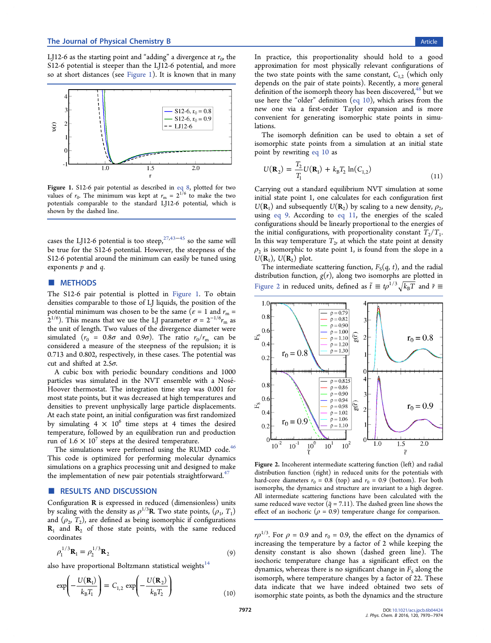LJ12-6 as the starting point and "adding" a divergence at  $r_0$ , the S12-6 potential is steeper than the LJ12-6 potential, and more so at short distances (see Figure 1). It is known that in many



Figure 1. S12-6 pair potential as described in eq 8, plotted for two values of  $r_0$ . The minimum was kept at  $r_m = 2^{1/6}$  to make the two potentials comparable to the standard LJ12-[6 pot](#page-1-0)ential, which is shown by the dashed line.

cases the LJ12-6 potential is too steep,<sup>27,43–45</sup> so the same will be true for the S12-6 potential. However, the steepness of the S12-6 potential around the minimum [can easil](#page-4-0)y be tuned using exponents  $p$  and  $q$ .

# ■ METHODS

The S12-6 pair potential is plotted in Figure 1. To obtain densities comparable to those of LJ liquids, the position of the potential minimum was chosen to be the same ( $\varepsilon = 1$  and  $r_m =$  $2^{1/6}$ ). This means that we use the LJ parameter  $\sigma = 2^{-1/6} r_{\rm m}$  as the unit of length. Two values of the divergence diameter were simulated ( $r_0 = 0.8\sigma$  and  $0.9\sigma$ ). The ratio  $r_0/r_m$  can be considered a measure of the steepness of the repulsion; it is 0.713 and 0.802, respectively, in these cases. The potential was cut and shifted at  $2.5\sigma$ .

A cubic box with periodic boundary conditions and 1000 particles was simulated in the NVT ensemble with a Nosé-Hoover thermostat. The integration time step was 0.001 for most state points, but it was decreased at high temperatures and densities to prevent unphysically large particle displacements. At each state point, an initial configuration was first randomized by simulating  $4 \times 10^6$  time steps at 4 times the desired temperature, followed by an equilibration run and production run of  $1.6 \times 10^{7}$  steps at the desired temperature.

The simulations were performed using the RUMD code.<sup>46</sup> This code is optimized for performing molecular dynamics simulations on a graphics processing unit and designed to ma[ke](#page-4-0) the implementation of new pair potentials straightforward.<sup>47</sup>

## RESULTS AND DISCUSSION

Configuration R is expressed in reduced (dimensionless) units by scaling with the density as  $\rho^{1/3}$ **R**. Two state points,  $(\rho_1, T_1)$ and  $(\rho_2, T_2)$ , are defined as being isomorphic if configurations  $R_1$  and  $R_2$  of those state points, with the same reduced coordinates

$$
\rho_1^{1/3} \mathbf{R}_1 = \rho_2^{1/3} \mathbf{R}_2 \tag{9}
$$

also have proportional Boltzmann statistical weights $14$ 

$$
\exp\left(-\frac{U(\mathbf{R}_1)}{k_{\mathrm{B}}T_1}\right) = C_{1,2} \exp\left(-\frac{U(\mathbf{R}_2)}{k_{\mathrm{B}}T_2}\right) \tag{10}
$$

In practice, this proportionality should hold to a good approximation for most physically relevant configurations of the two state points with the same constant,  $C_{1,2}$  (which only depends on the pair of state points). Recently, a more general definition of the isomorph theory has been discovered, $48$  but we use here the "older" definition (eq 10), which arises from the new one via a first-order Taylor expansion and [is](#page-4-0) more convenient for generating isomorphic state points in simulations.

The isomorph definition can be used to obtain a set of isomorphic state points from a simulation at an initial state point by rewriting eq 10 as

$$
U(\mathbf{R}_2) = \frac{T_2}{T_1} U(\mathbf{R}_1) + k_B T_2 \ln(C_{1,2})
$$
\n(11)

Carrying out a standard equilibrium NVT simulation at some initial state point 1, one calculates for each configuration first  $U(\mathbf{R}_1)$  and subsequently  $U(\mathbf{R}_2)$  by scaling to a new density,  $\rho_2$ , using eq 9. According to eq 11, the energies of the scaled configurations should be linearly proportional to the energies of the initial configurations, with proportionality constant  $T_2/T_1$ . In this way temperature  $T_2$ , at which the state point at density  $\rho_2$  is isomorphic to state point 1, is found from the slope in a  $U(\mathbf{R}_1)$ ,  $U(\mathbf{R}_2)$  plot.

The intermediate scattering function,  $F_S(q, t)$ , and the radial distribution function,  $g(r)$ , along two isomorphs are plotted in Figure 2 in reduced units, defined as  $\tilde{t} \equiv t\rho^{1/3}\sqrt{k_{\rm B}T}$  and  $\tilde{r} \equiv$ 



Figure 2. Incoherent intermediate scattering function (left) and radial distribution function (right) in reduced units for the potentials with hard-core diameters  $r_0 = 0.8$  (top) and  $r_0 = 0.9$  (bottom). For both isomorphs, the dynamics and structure are invariant to a high degree. All intermediate scattering functions have been calculated with the same reduced wave vector ( $\tilde{q}$  = 7.11). The dashed green line shows the effect of an isochoric ( $\rho = 0.9$ ) temperature change for comparison.

 $r\rho^{1/3}$ . For  $\rho = 0.9$  and  $r_0 = 0.9$ , the effect on the dynamics of increasing the temperature by a factor of 2 while keeping the density constant is also shown (dashed green line). The isochoric temperature change has a significant effect on the dynamics, whereas there is no significant change in  $F_S$  along the isomorph, where temperature changes by a factor of 22. These data indicate that we have indeed obtained two sets of isomorphic state points, as both the dynamics and the structure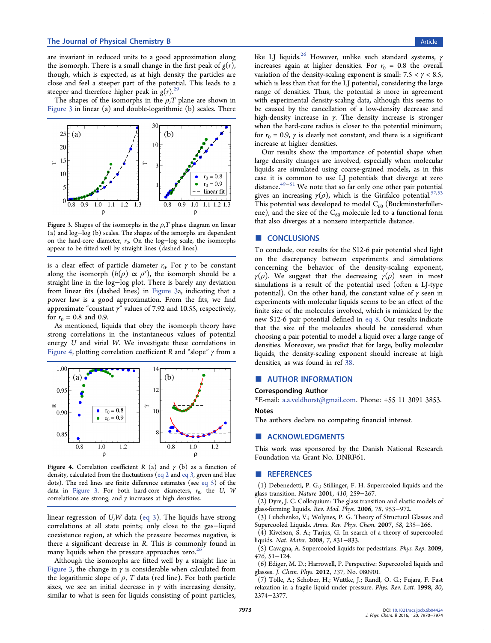<span id="page-3-0"></span>are invariant in reduced units to a good approximation along the isomorph. There is a small change in the first peak of  $g(r)$ , though, which is expected, as at high density the particles are close and feel a steeper part of the potential. This leads to a steeper and therefore higher peak in  $g(r)$ .<sup>29</sup>

The shapes of the isomorphs in the  $\rho$ , T plane are shown in Figure 3 in linear (a) and double-logarith[mi](#page-4-0)c (b) scales. There



Figure 3. Shapes of the isomorphs in the  $\rho$ , T phase diagram on linear (a) and log−log (b) scales. The shapes of the ismorphs are dependent on the hard-core diameter,  $r_0$ . On the log-log scale, the isomorphs appear to be fitted well by straight lines (dashed lines).

is a clear effect of particle diameter  $r_0$ . For  $\gamma$  to be constant along the isomorph  $(h(\rho) \propto \rho^{\gamma})$ , the isomorph should be a straight line in the log−log plot. There is barely any deviation from linear fits (dashed lines) in Figure 3a, indicating that a power law is a good approximation. From the fits, we find approximate "constant  $\gamma$ " values of 7.92 and 10.55, respectively, for  $r_0 = 0.8$  and 0.9.

As mentioned, liquids that obey the isomorph theory have strong correlations in the instantaneous values of potential energy U and virial W. We investigate these correlations in Figure 4, plotting correlation coefficient R and "slope"  $\gamma$  from a



Figure 4. Correlation coefficient R (a) and  $\gamma$  (b) as a function of density, calculated from the fluctuations (eq 2 and eq 3, green and blue dots). The red lines are finite difference estimates (see eq 5) of the data in Figure 3. For both hard-core diameters,  $r_0$ , the U, W correl[at](#page-0-0)ions are strong, and  $\gamma$  increases at [hig](#page-0-0)h d[ensiti](#page-0-0)es.

linear regression of  $U, W$  data (eq 3). The liquids have strong correlations at all state points; only close to the gas−liquid coexistence region, at which th[e pre](#page-0-0)ssure becomes negative, is there a significant decrease in R. This is commonly found in many liquids when the pressure approaches zero.<sup>26</sup>

Although the isomorphs are fitted well by a straight line in Figure 3, the change in  $\gamma$  is considerable when ca[lcu](#page-4-0)lated from the logarithmic slope of  $\rho$ , T data (red line). For both particle sizes, we see an initial decrease in  $\gamma$  with increasing density, similar to what is seen for liquids consisting of point particles,

like LJ liquids.<sup>26</sup> However, unlike such standard systems,  $\gamma$ increases again at higher densities. For  $r_0 = 0.8$  the overall variation of the [de](#page-4-0)nsity-scaling exponent is small:  $7.5 < \gamma < 8.5$ , which is less than that for the LJ potential, considering the large range of densities. Thus, the potential is more in agreement with experimental density-scaling data, although this seems to be caused by the cancellation of a low-density decrease and high-density increase in  $\gamma$ . The density increase is stronger when the hard-core radius is closer to the potential minimum; for  $r_0 = 0.9$ ,  $\gamma$  is clearly not constant, and there is a significant increase at higher densities.

Our results show the importance of potential shape when large density changes are involved, especially when molecular liquids are simulated using coarse-grained models, as in this case it is common to use LJ potentials that diverge at zero distance. $49-51$  We note that so far only one other pair potential gives an increasing  $\gamma(\rho)$ , which is the Girifalco potential.<sup>52,53</sup> This pot[en](#page-4-0)t[ial](#page-4-0) was developed to model  $C_{60}$  (Buckminsterfullerene), and the size of the  $C_{60}$  molecule led to a functional f[orm](#page-4-0) that also diverges at a nonzero interparticle distance.

### ■ **CONCLUSIONS**

To conclude, our results for the S12-6 pair potential shed light on the discrepancy between experiments and simulations concerning the behavior of the density-scaling exponent,  $\gamma(\rho)$ . We suggest that the decreasing  $\gamma(\rho)$  seen in most simulations is a result of the potential used (often a LJ-type potential). On the other hand, the constant value of  $\gamma$  seen in experiments with molecular liquids seems to be an effect of the finite size of the molecules involved, which is mimicked by the new S12-6 pair potential defined in eq 8. Our results indicate that the size of the molecules should be considered when choosing a pair potential to model a l[iquid](#page-1-0) over a large range of densities. Moreover, we predict that for large, bulky molecular liquids, the density-scaling exponent should increase at high densities, as was found in ref 38.

## ■ AUTHOR INFORMATI[ON](#page-4-0)

#### Corresponding Author

\*E-mail: a.a.veldhorst@gmail.com. Phone: +55 11 3091 3853. Notes

The auth[ors declare no competing](mailto:a.a.veldhorst@gmail.com) financial interest.

#### ■ ACKNOWLEDGMENTS

This work was sponsored by the Danish National Research Foundation via Grant No. DNRF61.

#### ■ REFERENCES

(1) Debenedetti, P. G.; Stillinger, F. H. Supercooled liquids and the glass transition. Nature 2001, 410, 259−267.

(2) Dyre, J. C. Colloquium: The glass transition and elastic models of glass-forming liquids. Rev. Mod. Phys. 2006, 78, 953−972.

(3) Lubchenko, V.; Wolynes, P. G. Theory of Structural Glasses and Supercooled Liquids. Annu. Rev. Phys. Chem. 2007, 58, 235−266.

(4) Kivelson, S. A.; Tarjus, G. In search of a theory of supercooled liquids. Nat. Mater. 2008, 7, 831−833.

(5) Cavagna, A. Supercooled liquids for pedestrians. Phys. Rep. 2009, 476, 51−124.

(6) Ediger, M. D.; Harrowell, P. Perspective: Supercooled liquids and glasses. J. Chem. Phys. 2012, 137, No. 080901.

(7) Tölle, A.; Schober, H.; Wuttke, J.; Randl, O. G.; Fujara, F. Fast relaxation in a fragile liquid under pressure. Phys. Rev. Lett. 1998, 80, 2374−2377.